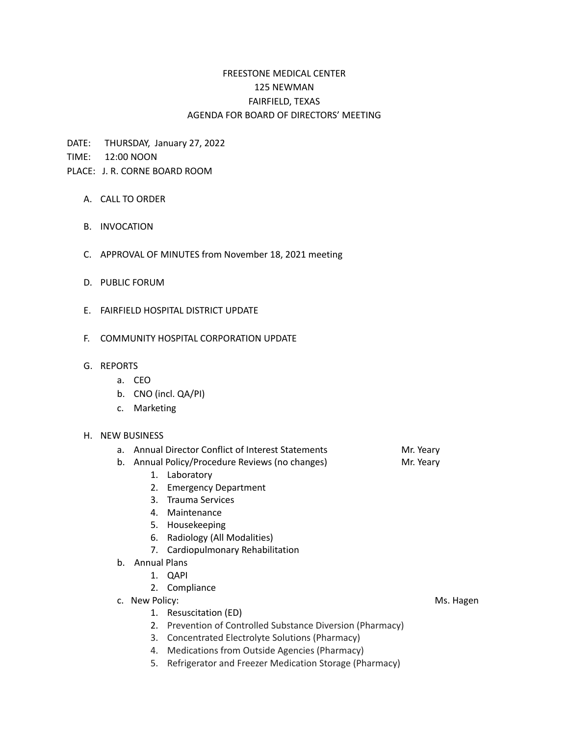## FREESTONE MEDICAL CENTER 125 NEWMAN FAIRFIELD, TEXAS AGENDA FOR BOARD OF DIRECTORS' MEETING

DATE: THURSDAY, January 27, 2022

TIME: 12:00 NOON

## PLACE: J. R. CORNE BOARD ROOM

- A. CALL TO ORDER
- B. INVOCATION
- C. APPROVAL OF MINUTES from November 18, 2021 meeting
- D. PUBLIC FORUM
- E. FAIRFIELD HOSPITAL DISTRICT UPDATE
- F. COMMUNITY HOSPITAL CORPORATION UPDATE
- G. REPORTS
	- a. CEO
	- b. CNO (incl. QA/PI)
	- c. Marketing

## H. NEW BUSINESS

- a. Annual Director Conflict of Interest Statements Mr. Yeary
- b. Annual Policy/Procedure Reviews (no changes) Mr. Yeary
	- 1. Laboratory
	- 2. Emergency Department
	- 3. Trauma Services
	- 4. Maintenance
	- 5. Housekeeping
	- 6. Radiology (All Modalities)
	- 7. Cardiopulmonary Rehabilitation
- b. Annual Plans
	- 1. QAPI
	- 2. Compliance
- c. New Policy: No. 12 and 2008 and 2008 and 2008 and 2008 and 2008 and 2008 and 2008 and 2008 and 2008 and 200
	- 1. Resuscitation (ED)
	- 2. Prevention of Controlled Substance Diversion (Pharmacy)
	- 3. Concentrated Electrolyte Solutions (Pharmacy)
	- 4. Medications from Outside Agencies (Pharmacy)
	- 5. Refrigerator and Freezer Medication Storage (Pharmacy)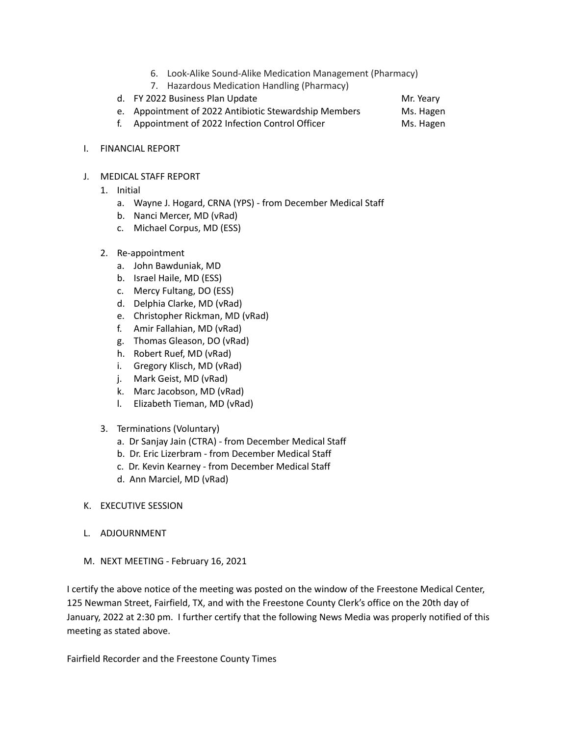- 6. Look-Alike Sound-Alike Medication Management (Pharmacy)
- 7. Hazardous Medication Handling (Pharmacy)
- d. FY 2022 Business Plan Update Mr. Yeary
- e. Appointment of 2022 Antibiotic Stewardship Members Ms. Hagen
- f. Appointment of 2022 Infection Control Officer Ms. Hagen
- I. FINANCIAL REPORT
- J. MEDICAL STAFF REPORT
	- 1. Initial
		- a. Wayne J. Hogard, CRNA (YPS) from December Medical Staff
		- b. Nanci Mercer, MD (vRad)
		- c. Michael Corpus, MD (ESS)
	- 2. Re-appointment
		- a. John Bawduniak, MD
		- b. Israel Haile, MD (ESS)
		- c. Mercy Fultang, DO (ESS)
		- d. Delphia Clarke, MD (vRad)
		- e. Christopher Rickman, MD (vRad)
		- f. Amir Fallahian, MD (vRad)
		- g. Thomas Gleason, DO (vRad)
		- h. Robert Ruef, MD (vRad)
		- i. Gregory Klisch, MD (vRad)
		- j. Mark Geist, MD (vRad)
		- k. Marc Jacobson, MD (vRad)
		- l. Elizabeth Tieman, MD (vRad)
	- 3. Terminations (Voluntary)
		- a. Dr Sanjay Jain (CTRA) from December Medical Staff
		- b. Dr. Eric Lizerbram from December Medical Staff
		- c. Dr. Kevin Kearney from December Medical Staff
		- d. Ann Marciel, MD (vRad)

## K. EXECUTIVE SESSION

- L. ADJOURNMENT
- M. NEXT MEETING February 16, 2021

I certify the above notice of the meeting was posted on the window of the Freestone Medical Center, 125 Newman Street, Fairfield, TX, and with the Freestone County Clerk's office on the 20th day of January, 2022 at 2:30 pm. I further certify that the following News Media was properly notified of this meeting as stated above.

Fairfield Recorder and the Freestone County Times